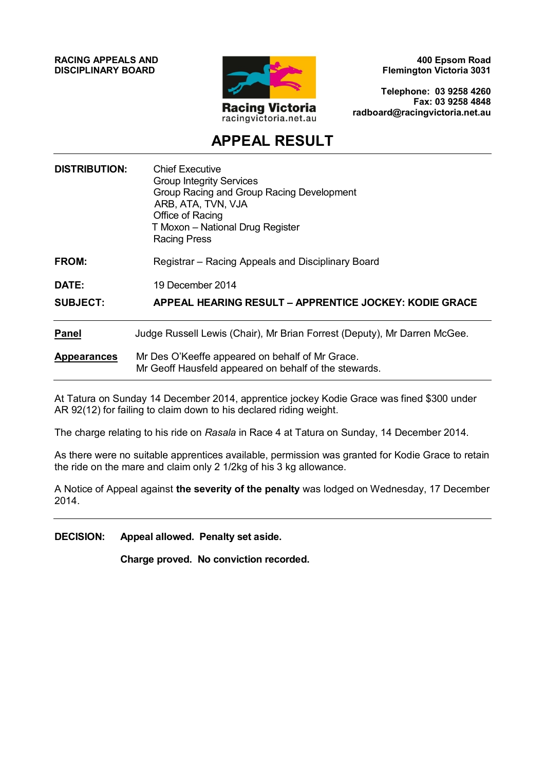**RACING APPEALS AND DISCIPLINARY BOARD**



**400 Epsom Road Flemington Victoria 3031**

**Telephone: 03 9258 4260 Fax: 03 9258 4848 radboard@racingvictoria.net.au**

# **APPEAL RESULT**

| <b>DISTRIBUTION:</b> | Chief Executive<br><b>Group Integrity Services</b><br>Group Racing and Group Racing Development<br>ARB, ATA, TVN, VJA<br>Office of Racing<br>T Moxon - National Drug Register<br><b>Racing Press</b> |
|----------------------|------------------------------------------------------------------------------------------------------------------------------------------------------------------------------------------------------|
| <b>FROM:</b>         | Registrar - Racing Appeals and Disciplinary Board                                                                                                                                                    |
| DATE:                | 19 December 2014                                                                                                                                                                                     |
| <b>SUBJECT:</b>      | APPEAL HEARING RESULT – APPRENTICE JOCKEY: KODIE GRACE                                                                                                                                               |
| <b>Panel</b>         | Judge Russell Lewis (Chair), Mr Brian Forrest (Deputy), Mr Darren McGee.                                                                                                                             |
| <b>Appearances</b>   | Mr Des O'Keeffe appeared on behalf of Mr Grace.<br>Mr Geoff Hausfeld appeared on behalf of the stewards.                                                                                             |

At Tatura on Sunday 14 December 2014, apprentice jockey Kodie Grace was fined \$300 under AR 92(12) for failing to claim down to his declared riding weight.

The charge relating to his ride on *Rasala* in Race 4 at Tatura on Sunday, 14 December 2014.

As there were no suitable apprentices available, permission was granted for Kodie Grace to retain the ride on the mare and claim only 2 1/2kg of his 3 kg allowance.

A Notice of Appeal against **the severity of the penalty** was lodged on Wednesday, 17 December 2014.

**DECISION: Appeal allowed. Penalty set aside.**

**Charge proved. No conviction recorded.**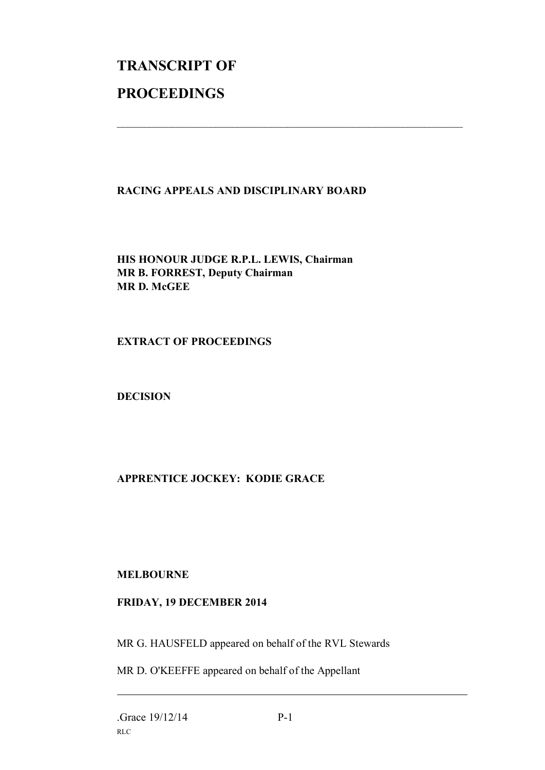# **TRANSCRIPT OF PROCEEDINGS**

## **RACING APPEALS AND DISCIPLINARY BOARD**

 $\mathcal{L}_\text{max}$  , and the contribution of the contribution of the contribution of the contribution of the contribution of the contribution of the contribution of the contribution of the contribution of the contribution of t

**HIS HONOUR JUDGE R.P.L. LEWIS, Chairman MR B. FORREST, Deputy Chairman MR D. McGEE**

**EXTRACT OF PROCEEDINGS**

**DECISION**

# **APPRENTICE JOCKEY: KODIE GRACE**

### **MELBOURNE**

### **FRIDAY, 19 DECEMBER 2014**

MR G. HAUSFELD appeared on behalf of the RVL Stewards

MR D. O'KEEFFE appeared on behalf of the Appellant